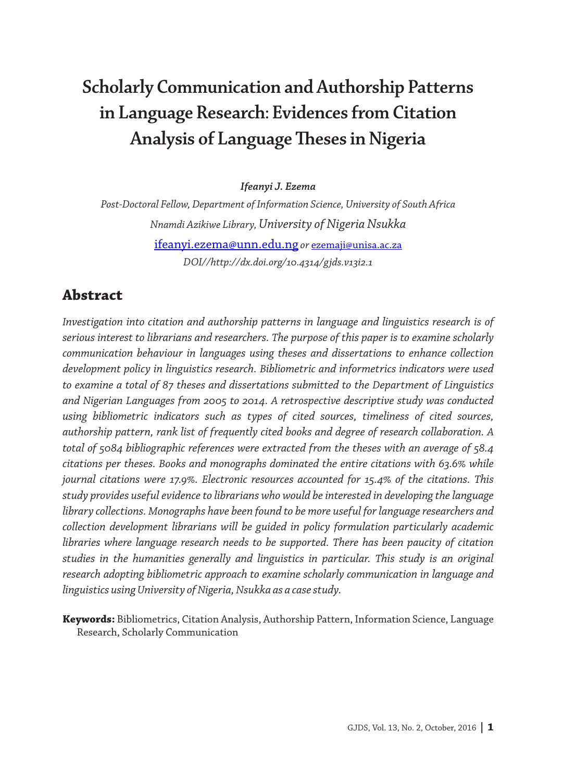# **Scholarly Communication and Authorship Patterns in Language Research: Evidences from Citation Analysis of Language Theses in Nigeria**

*Ifeanyi J. Ezema*

*Post-Doctoral Fellow, Department of Information Science, University of South Africa Nnamdi Azikiwe Library, University of Nigeria Nsukka* ifeanyi.ezema@unn.edu.ng *or* ezemaji@unisa.ac.za *DOI//http://dx.doi.org/10.4314/gjds.v13i2.1*

### **Abstract**

*Investigation into citation and authorship patterns in language and linguistics research is of serious interest to librarians and researchers. The purpose of this paper is to examine scholarly communication behaviour in languages using theses and dissertations to enhance collection development policy in linguistics research. Bibliometric and informetrics indicators were used to examine a total of 87 theses and dissertations submitted to the Department of Linguistics and Nigerian Languages from 2005 to 2014. A retrospective descriptive study was conducted using bibliometric indicators such as types of cited sources, timeliness of cited sources, authorship pattern, rank list of frequently cited books and degree of research collaboration. A total of 5084 bibliographic references were extracted from the theses with an average of 58.4 citations per theses. Books and monographs dominated the entire citations with 63.6% while journal citations were 17.9%. Electronic resources accounted for 15.4% of the citations. This study provides useful evidence to librarians who would be interested in developing the language library collections. Monographs have been found to be more useful for language researchers and collection development librarians will be guided in policy formulation particularly academic libraries where language research needs to be supported. There has been paucity of citation studies in the humanities generally and linguistics in particular. This study is an original research adopting bibliometric approach to examine scholarly communication in language and linguistics using University of Nigeria, Nsukka as a case study.*

**Keywords:** Bibliometrics, Citation Analysis, Authorship Pattern, Information Science, Language Research, Scholarly Communication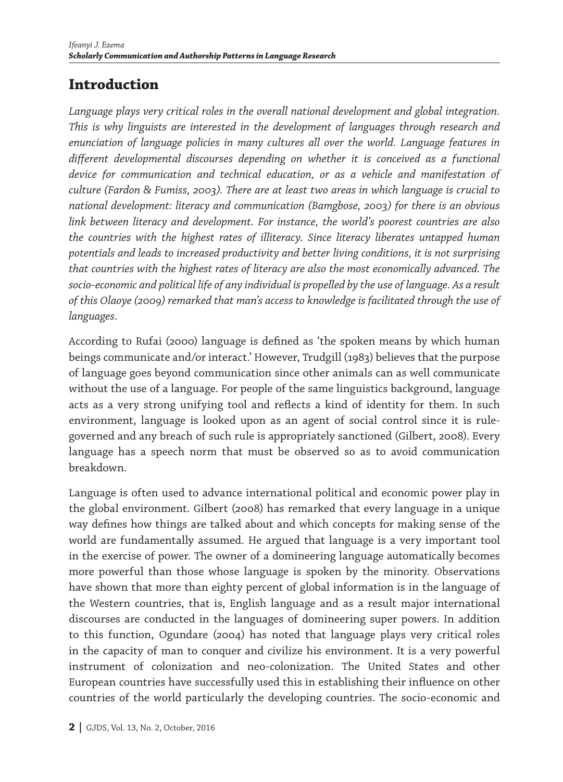# **Introduction**

*Language plays very critical roles in the overall national development and global integration. This is why linguists are interested in the development of languages through research and enunciation of language policies in many cultures all over the world. Language features in different developmental discourses depending on whether it is conceived as a functional device for communication and technical education, or as a vehicle and manifestation of culture (Fardon & Fumiss, 2003). There are at least two areas in which language is crucial to national development: literacy and communication (Bamgbose, 2003) for there is an obvious link between literacy and development. For instance, the world's poorest countries are also the countries with the highest rates of illiteracy. Since literacy liberates untapped human potentials and leads to increased productivity and better living conditions, it is not surprising that countries with the highest rates of literacy are also the most economically advanced. The socio-economic and political life of any individual is propelled by the use of language. As a result of this Olaoye (2009) remarked that man's access to knowledge is facilitated through the use of languages.*

According to Rufai (2000) language is defined as 'the spoken means by which human beings communicate and/or interact.' However, Trudgill (1983) believes that the purpose of language goes beyond communication since other animals can as well communicate without the use of a language. For people of the same linguistics background, language acts as a very strong unifying tool and reflects a kind of identity for them. In such environment, language is looked upon as an agent of social control since it is rulegoverned and any breach of such rule is appropriately sanctioned (Gilbert, 2008). Every language has a speech norm that must be observed so as to avoid communication breakdown.

Language is often used to advance international political and economic power play in the global environment. Gilbert (2008) has remarked that every language in a unique way defines how things are talked about and which concepts for making sense of the world are fundamentally assumed. He argued that language is a very important tool in the exercise of power. The owner of a domineering language automatically becomes more powerful than those whose language is spoken by the minority. Observations have shown that more than eighty percent of global information is in the language of the Western countries, that is, English language and as a result major international discourses are conducted in the languages of domineering super powers. In addition to this function, Ogundare (2004) has noted that language plays very critical roles in the capacity of man to conquer and civilize his environment. It is a very powerful instrument of colonization and neo-colonization. The United States and other European countries have successfully used this in establishing their influence on other countries of the world particularly the developing countries. The socio-economic and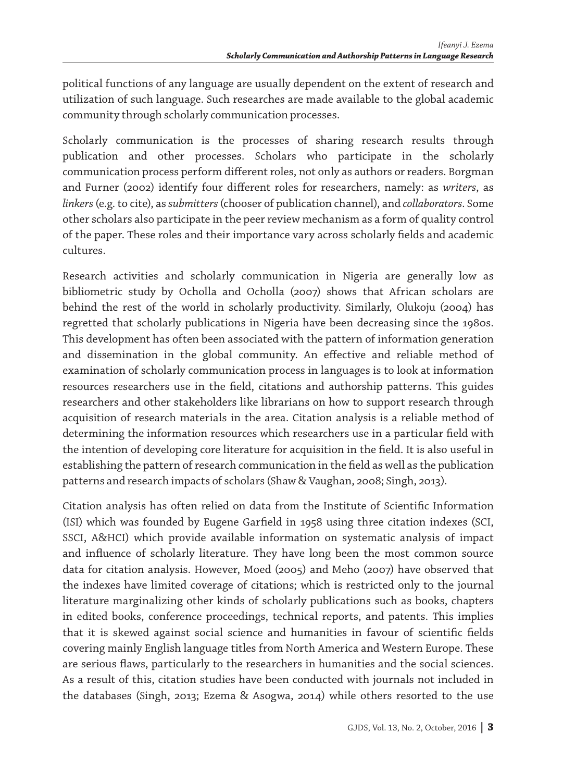political functions of any language are usually dependent on the extent of research and utilization of such language. Such researches are made available to the global academic community through scholarly communication processes.

Scholarly communication is the processes of sharing research results through publication and other processes. Scholars who participate in the scholarly communication process perform different roles, not only as authors or readers. Borgman and Furner (2002) identify four different roles for researchers, namely: as *writers*, as *linkers* (e.g. to cite), as *submitters* (chooser of publication channel), and *collaborators*. Some other scholars also participate in the peer review mechanism as a form of quality control of the paper. These roles and their importance vary across scholarly fields and academic cultures.

Research activities and scholarly communication in Nigeria are generally low as bibliometric study by Ocholla and Ocholla (2007) shows that African scholars are behind the rest of the world in scholarly productivity. Similarly, Olukoju (2004) has regretted that scholarly publications in Nigeria have been decreasing since the 1980s. This development has often been associated with the pattern of information generation and dissemination in the global community. An effective and reliable method of examination of scholarly communication process in languages is to look at information resources researchers use in the field, citations and authorship patterns. This guides researchers and other stakeholders like librarians on how to support research through acquisition of research materials in the area. Citation analysis is a reliable method of determining the information resources which researchers use in a particular field with the intention of developing core literature for acquisition in the field. It is also useful in establishing the pattern of research communication in the field as well as the publication patterns and research impacts of scholars (Shaw & Vaughan, 2008; Singh, 2013).

Citation analysis has often relied on data from the Institute of Scientific Information (ISI) which was founded by Eugene Garfield in 1958 using three citation indexes (SCI, SSCI, A&HCI) which provide available information on systematic analysis of impact and influence of scholarly literature. They have long been the most common source data for citation analysis. However, Moed (2005) and Meho (2007) have observed that the indexes have limited coverage of citations; which is restricted only to the journal literature marginalizing other kinds of scholarly publications such as books, chapters in edited books, conference proceedings, technical reports, and patents. This implies that it is skewed against social science and humanities in favour of scientific fields covering mainly English language titles from North America and Western Europe. These are serious flaws, particularly to the researchers in humanities and the social sciences. As a result of this, citation studies have been conducted with journals not included in the databases (Singh, 2013; Ezema & Asogwa, 2014) while others resorted to the use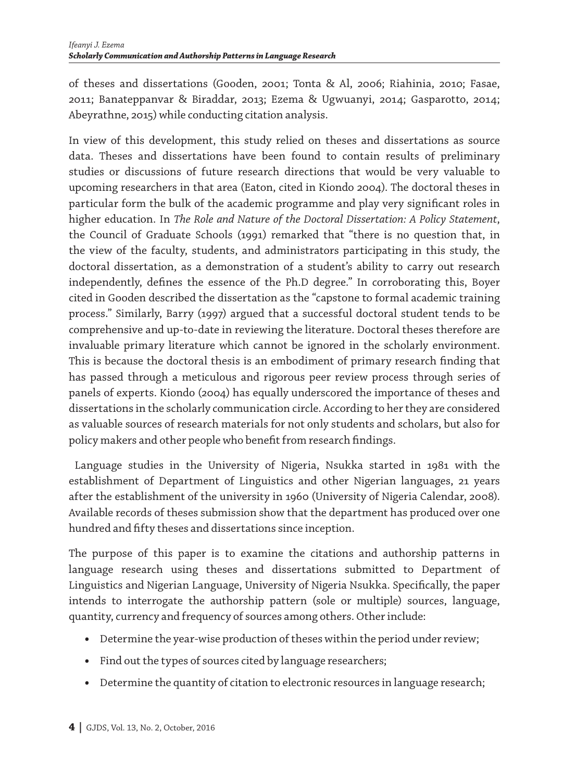of theses and dissertations (Gooden, 2001; Tonta & Al, 2006; Riahinia, 2010; Fasae, 2011; Banateppanvar & Biraddar, 2013; Ezema & Ugwuanyi, 2014; Gasparotto, 2014; Abeyrathne, 2015) while conducting citation analysis.

In view of this development, this study relied on theses and dissertations as source data. Theses and dissertations have been found to contain results of preliminary studies or discussions of future research directions that would be very valuable to upcoming researchers in that area (Eaton, cited in Kiondo 2004). The doctoral theses in particular form the bulk of the academic programme and play very significant roles in higher education. In *The Role and Nature of the Doctoral Dissertation: A Policy Statement*, the Council of Graduate Schools (1991) remarked that "there is no question that, in the view of the faculty, students, and administrators participating in this study, the doctoral dissertation, as a demonstration of a student's ability to carry out research independently, defines the essence of the Ph.D degree." In corroborating this, Boyer cited in Gooden described the dissertation as the "capstone to formal academic training process." Similarly, Barry (1997) argued that a successful doctoral student tends to be comprehensive and up-to-date in reviewing the literature. Doctoral theses therefore are invaluable primary literature which cannot be ignored in the scholarly environment. This is because the doctoral thesis is an embodiment of primary research finding that has passed through a meticulous and rigorous peer review process through series of panels of experts. Kiondo (2004) has equally underscored the importance of theses and dissertations in the scholarly communication circle. According to her they are considered as valuable sources of research materials for not only students and scholars, but also for policy makers and other people who benefit from research findings.

Language studies in the University of Nigeria, Nsukka started in 1981 with the establishment of Department of Linguistics and other Nigerian languages, 21 years after the establishment of the university in 1960 (University of Nigeria Calendar, 2008). Available records of theses submission show that the department has produced over one hundred and fifty theses and dissertations since inception.

The purpose of this paper is to examine the citations and authorship patterns in language research using theses and dissertations submitted to Department of Linguistics and Nigerian Language, University of Nigeria Nsukka. Specifically, the paper intends to interrogate the authorship pattern (sole or multiple) sources, language, quantity, currency and frequency of sources among others. Other include:

- **•** Determine the year-wise production of theses within the period under review;
- **•** Find out the types of sources cited by language researchers;
- **•** Determine the quantity of citation to electronic resources in language research;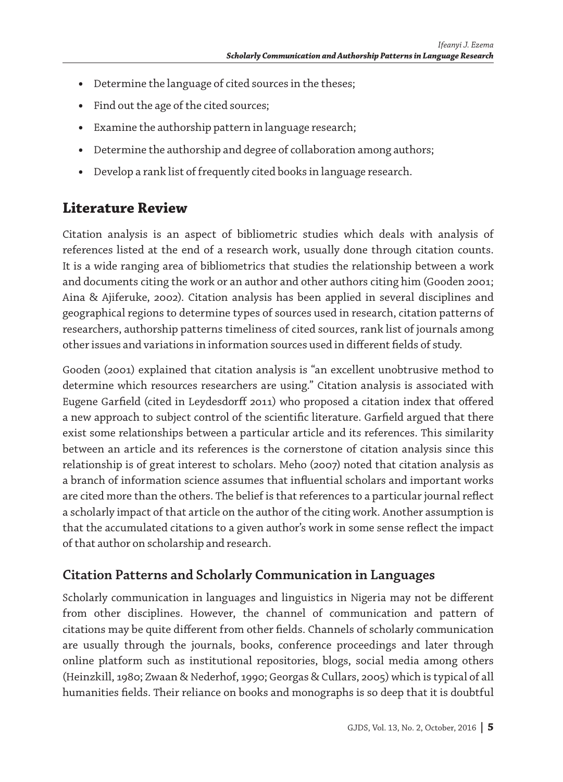- **•** Determine the language of cited sources in the theses;
- **•** Find out the age of the cited sources;
- **•** Examine the authorship pattern in language research;
- **•** Determine the authorship and degree of collaboration among authors;
- **•** Develop a rank list of frequently cited books in language research.

# **Literature Review**

Citation analysis is an aspect of bibliometric studies which deals with analysis of references listed at the end of a research work, usually done through citation counts. It is a wide ranging area of bibliometrics that studies the relationship between a work and documents citing the work or an author and other authors citing him (Gooden 2001; Aina & Ajiferuke, 2002). Citation analysis has been applied in several disciplines and geographical regions to determine types of sources used in research, citation patterns of researchers, authorship patterns timeliness of cited sources, rank list of journals among other issues and variations in information sources used in different fields of study.

Gooden (2001) explained that citation analysis is "an excellent unobtrusive method to determine which resources researchers are using." Citation analysis is associated with Eugene Garfield (cited in Leydesdorff 2011) who proposed a citation index that offered a new approach to subject control of the scientific literature. Garfield argued that there exist some relationships between a particular article and its references. This similarity between an article and its references is the cornerstone of citation analysis since this relationship is of great interest to scholars. Meho (2007) noted that citation analysis as a branch of information science assumes that influential scholars and important works are cited more than the others. The belief is that references to a particular journal reflect a scholarly impact of that article on the author of the citing work. Another assumption is that the accumulated citations to a given author's work in some sense reflect the impact of that author on scholarship and research.

### **Citation Patterns and Scholarly Communication in Languages**

Scholarly communication in languages and linguistics in Nigeria may not be different from other disciplines. However, the channel of communication and pattern of citations may be quite different from other fields. Channels of scholarly communication are usually through the journals, books, conference proceedings and later through online platform such as institutional repositories, blogs, social media among others (Heinzkill, 1980; Zwaan & Nederhof, 1990; Georgas & Cullars, 2005) which is typical of all humanities fields. Their reliance on books and monographs is so deep that it is doubtful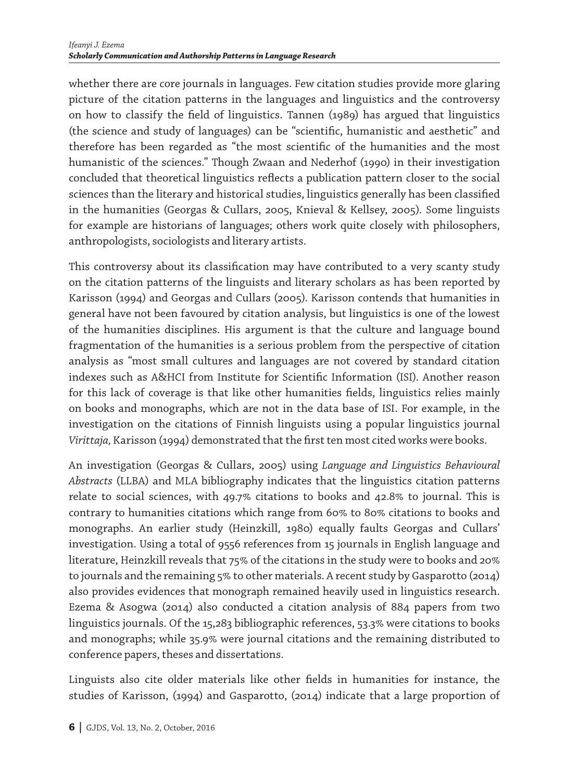whether there are core journals in languages. Few citation studies provide more glaring picture of the citation patterns in the languages and linguistics and the controversy on how to classify the field of linguistics. Tannen (1989) has argued that linguistics (the science and study of languages) can be "scientific, humanistic and aesthetic" and therefore has been regarded as "the most scientific of the humanities and the most humanistic of the sciences." Though Zwaan and Nederhof (1990) in their investigation concluded that theoretical linguistics reflects a publication pattern closer to the social sciences than the literary and historical studies, linguistics generally has been classified in the humanities (Georgas & Cullars, 2005, Knieval & Kellsey, 2005). Some linguists for example are historians of languages; others work quite closely with philosophers, anthropologists, sociologists and literary artists.

This controversy about its classification may have contributed to a very scanty study on the citation patterns of the linguists and literary scholars as has been reported by Karisson (1994) and Georgas and Cullars (2005). Karisson contends that humanities in general have not been favoured by citation analysis, but linguistics is one of the lowest of the humanities disciplines. His argument is that the culture and language bound fragmentation of the humanities is a serious problem from the perspective of citation analysis as "most small cultures and languages are not covered by standard citation indexes such as A&HCI from Institute for Scientific Information (ISI). Another reason for this lack of coverage is that like other humanities fields, linguistics relies mainly on books and monographs, which are not in the data base of ISI. For example, in the investigation on the citations of Finnish linguists using a popular linguistics journal *Virittaja,* Karisson (1994) demonstrated that the first ten most cited works were books.

An investigation (Georgas & Cullars, 2005) using *Language and Linguistics Behavioural Abstracts* (LLBA) and MLA bibliography indicates that the linguistics citation patterns relate to social sciences, with 49.7% citations to books and 42.8% to journal. This is contrary to humanities citations which range from 60% to 80% citations to books and monographs. An earlier study (Heinzkill, 1980) equally faults Georgas and Cullars' investigation. Using a total of 9556 references from 15 journals in English language and literature, Heinzkill reveals that 75% of the citations in the study were to books and 20% to journals and the remaining 5% to other materials. A recent study by Gasparotto (2014) also provides evidences that monograph remained heavily used in linguistics research. Ezema & Asogwa (2014) also conducted a citation analysis of 884 papers from two linguistics journals. Of the 15,283 bibliographic references, 53.3% were citations to books and monographs; while 35.9% were journal citations and the remaining distributed to conference papers, theses and dissertations.

Linguists also cite older materials like other fields in humanities for instance, the studies of Karisson, (1994) and Gasparotto, (2014) indicate that a large proportion of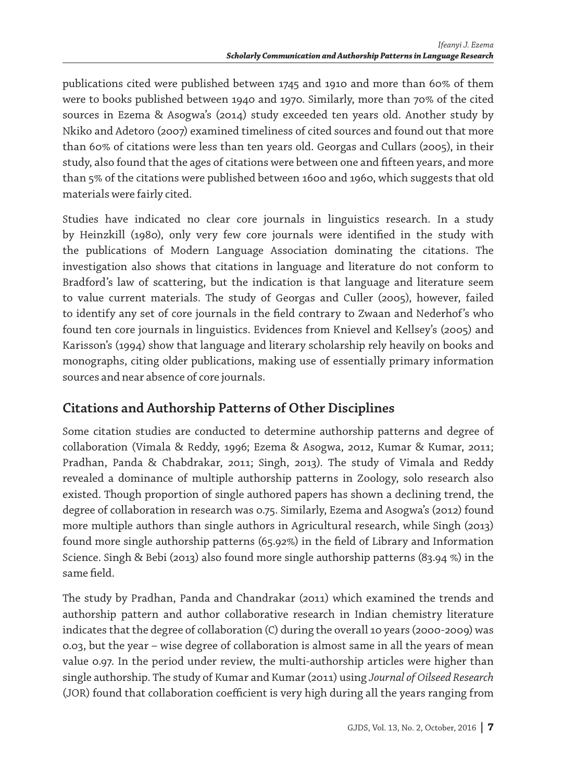publications cited were published between 1745 and 1910 and more than 60% of them were to books published between 1940 and 1970. Similarly, more than 70% of the cited sources in Ezema & Asogwa's (2014) study exceeded ten years old. Another study by Nkiko and Adetoro (2007) examined timeliness of cited sources and found out that more than 60% of citations were less than ten years old. Georgas and Cullars (2005), in their study, also found that the ages of citations were between one and fifteen years, and more than 5% of the citations were published between 1600 and 1960, which suggests that old materials were fairly cited.

Studies have indicated no clear core journals in linguistics research. In a study by Heinzkill (1980), only very few core journals were identified in the study with the publications of Modern Language Association dominating the citations. The investigation also shows that citations in language and literature do not conform to Bradford's law of scattering, but the indication is that language and literature seem to value current materials. The study of Georgas and Culler (2005), however, failed to identify any set of core journals in the field contrary to Zwaan and Nederhof's who found ten core journals in linguistics. Evidences from Knievel and Kellsey's (2005) and Karisson's (1994) show that language and literary scholarship rely heavily on books and monographs, citing older publications, making use of essentially primary information sources and near absence of core journals.

### **Citations and Authorship Patterns of Other Disciplines**

Some citation studies are conducted to determine authorship patterns and degree of collaboration (Vimala & Reddy, 1996; Ezema & Asogwa, 2012, Kumar & Kumar, 2011; Pradhan, Panda & Chabdrakar, 2011; Singh, 2013). The study of Vimala and Reddy revealed a dominance of multiple authorship patterns in Zoology, solo research also existed. Though proportion of single authored papers has shown a declining trend, the degree of collaboration in research was 0.75. Similarly, Ezema and Asogwa's (2012) found more multiple authors than single authors in Agricultural research, while Singh (2013) found more single authorship patterns (65.92%) in the field of Library and Information Science. Singh & Bebi (2013) also found more single authorship patterns (83.94 %) in the same field.

The study by Pradhan, Panda and Chandrakar (2011) which examined the trends and authorship pattern and author collaborative research in Indian chemistry literature indicates that the degree of collaboration (C) during the overall 10 years (2000-2009) was 0.03, but the year – wise degree of collaboration is almost same in all the years of mean value 0.97. In the period under review, the multi-authorship articles were higher than single authorship. The study of Kumar and Kumar (2011) using *Journal of Oilseed Research*  (JOR) found that collaboration coefficient is very high during all the years ranging from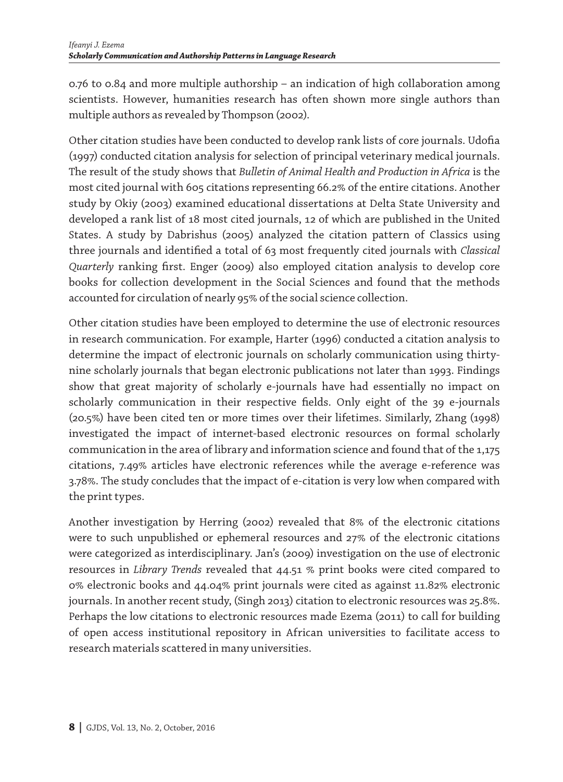0.76 to 0.84 and more multiple authorship – an indication of high collaboration among scientists. However, humanities research has often shown more single authors than multiple authors as revealed by Thompson (2002).

Other citation studies have been conducted to develop rank lists of core journals. Udofia (1997) conducted citation analysis for selection of principal veterinary medical journals. The result of the study shows that *Bulletin of Animal Health and Production in Africa* is the most cited journal with 605 citations representing 66.2% of the entire citations. Another study by Okiy (2003) examined educational dissertations at Delta State University and developed a rank list of 18 most cited journals, 12 of which are published in the United States. A study by Dabrishus (2005) analyzed the citation pattern of Classics using three journals and identified a total of 63 most frequently cited journals with *Classical Quarterly* ranking first. Enger (2009) also employed citation analysis to develop core books for collection development in the Social Sciences and found that the methods accounted for circulation of nearly 95% of the social science collection.

Other citation studies have been employed to determine the use of electronic resources in research communication. For example, Harter (1996) conducted a citation analysis to determine the impact of electronic journals on scholarly communication using thirtynine scholarly journals that began electronic publications not later than 1993. Findings show that great majority of scholarly e-journals have had essentially no impact on scholarly communication in their respective fields. Only eight of the 39 e-journals (20.5%) have been cited ten or more times over their lifetimes. Similarly, Zhang (1998) investigated the impact of internet-based electronic resources on formal scholarly communication in the area of library and information science and found that of the 1,175 citations, 7.49% articles have electronic references while the average e-reference was 3.78%. The study concludes that the impact of e-citation is very low when compared with the print types.

Another investigation by Herring (2002) revealed that 8% of the electronic citations were to such unpublished or ephemeral resources and 27% of the electronic citations were categorized as interdisciplinary. Jan's (2009) investigation on the use of electronic resources in *Library Trends* revealed that 44.51 % print books were cited compared to 0% electronic books and 44.04% print journals were cited as against 11.82% electronic journals. In another recent study, (Singh 2013) citation to electronic resources was 25.8%. Perhaps the low citations to electronic resources made Ezema (2011) to call for building of open access institutional repository in African universities to facilitate access to research materials scattered in many universities.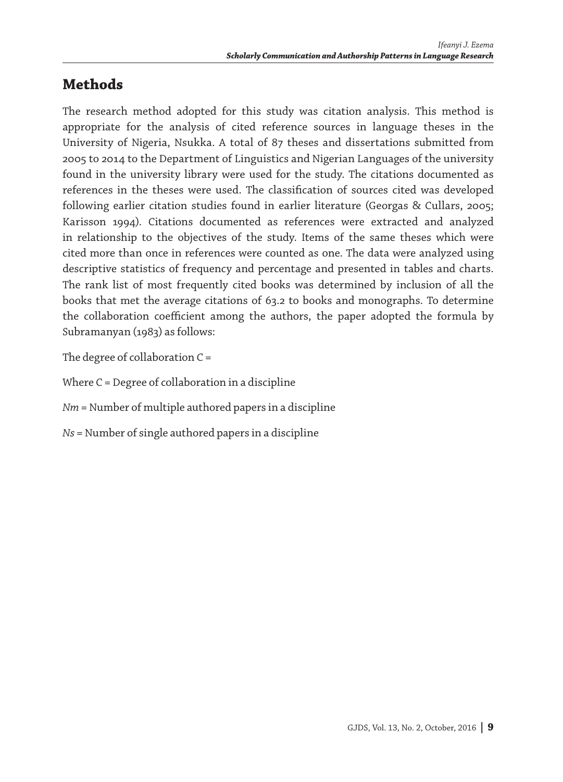# **Methods**

The research method adopted for this study was citation analysis. This method is appropriate for the analysis of cited reference sources in language theses in the University of Nigeria, Nsukka. A total of 87 theses and dissertations submitted from 2005 to 2014 to the Department of Linguistics and Nigerian Languages of the university found in the university library were used for the study. The citations documented as references in the theses were used. The classification of sources cited was developed following earlier citation studies found in earlier literature (Georgas & Cullars, 2005; Karisson 1994). Citations documented as references were extracted and analyzed in relationship to the objectives of the study. Items of the same theses which were cited more than once in references were counted as one. The data were analyzed using descriptive statistics of frequency and percentage and presented in tables and charts. The rank list of most frequently cited books was determined by inclusion of all the books that met the average citations of 63.2 to books and monographs. To determine the collaboration coefficient among the authors, the paper adopted the formula by Subramanyan (1983) as follows:

The degree of collaboration C =

Where  $C =$  Degree of collaboration in a discipline

*Nm* = Number of multiple authored papers in a discipline

*Ns* = Number of single authored papers in a discipline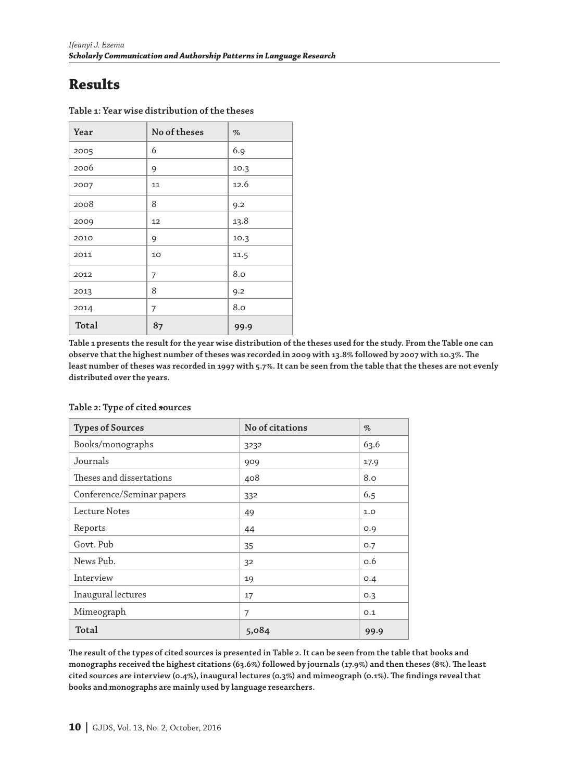# **Results**

| Year  | No of theses | $\%$ |
|-------|--------------|------|
| 2005  | 6            | 6.9  |
| 2006  | 9            | 10.3 |
| 2007  | 11           | 12.6 |
| 2008  | 8            | 9.2  |
| 2009  | 12           | 13.8 |
| 2010  | 9            | 10.3 |
| 2011  | 10           | 11.5 |
| 2012  | 7            | 8.0  |
| 2013  | 8            | 9.2  |
| 2014  | 7            | 8.0  |
| Total | 87           | 99.9 |

**Table 1: Year wise distribution of the theses**

**Table 1 presents the result for the year wise distribution of the theses used for the study. From the Table one can observe that the highest number of theses was recorded in 2009 with 13.8% followed by 2007 with 10.3%. The least number of theses was recorded in 1997 with 5.7%. It can be seen from the table that the theses are not evenly distributed over the years.**

| <b>Types of Sources</b>   | No of citations | $\%$ |
|---------------------------|-----------------|------|
| Books/monographs          | 3232            | 63.6 |
| Journals                  | 909             | 17.9 |
| Theses and dissertations  | 408             | 8.0  |
| Conference/Seminar papers | 332             | 6.5  |
| Lecture Notes             | 49              | 1.0  |
| Reports                   | 44              | O.9  |
| Govt. Pub                 | 35              | O.7  |
| News Pub.                 | 32              | O.6  |
| Interview                 | 19              | 0.4  |
| Inaugural lectures        | 17              | 0.3  |
| Mimeograph                | 7               | 0.1  |
| Total                     | 5,084           | 99.9 |

### **Table 2: Type of cited sources**

**The result of the types of cited sources is presented in Table 2. It can be seen from the table that books and monographs received the highest citations (63.6%) followed by journals (17.9%) and then theses (8%). The least cited sources are interview (0.4%), inaugural lectures (0.3%) and mimeograph (0.1%). The findings reveal that books and monographs are mainly used by language researchers.**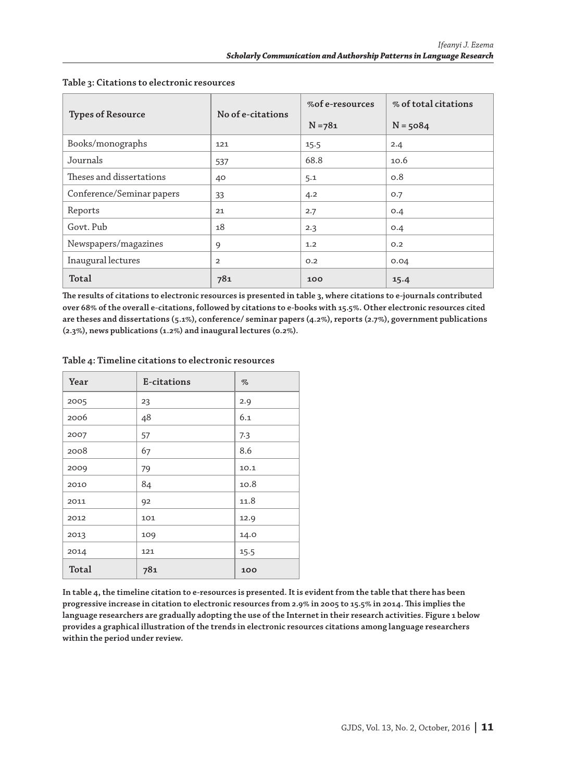|                           | No of e-citations | %of e-resources | % of total citations |  |
|---------------------------|-------------------|-----------------|----------------------|--|
| <b>Types of Resource</b>  |                   | $N = 781$       | $N = 5084$           |  |
| Books/monographs          | 121               | 15.5            | 2.4                  |  |
| Journals                  | 537               | 68.8            | 10.6                 |  |
| Theses and dissertations  | 40                | 5.1             | O.8                  |  |
| Conference/Seminar papers | 33                | 4.2             | O.7                  |  |
| Reports                   | 21                | 2.7             | O.4                  |  |
| Govt. Pub                 | 18                | 2.3             | O.4                  |  |
| Newspapers/magazines      | 9                 | 1.2             | O.2                  |  |
| Inaugural lectures        | $\overline{2}$    | O.2             | 0.04                 |  |
| Total                     | 781               | 100             | 15.4                 |  |

#### **Table 3: Citations to electronic resources**

**The results of citations to electronic resources is presented in table 3, where citations to e-journals contributed over 68% of the overall e-citations, followed by citations to e-books with 15.5%. Other electronic resources cited are theses and dissertations (5.1%), conference/ seminar papers (4.2%), reports (2.7%), government publications (2.3%), news publications (1.2%) and inaugural lectures (0.2%).**

| Year  | E-citations | $\%$ |
|-------|-------------|------|
| 2005  | 23          | 2.9  |
| 2006  | 48          | 6.1  |
| 2007  | 57          | 7.3  |
| 2008  | 67          | 8.6  |
| 2009  | 79          | 10.1 |
| 2010  | 84          | 10.8 |
| 2011  | 92          | 11.8 |
| 2012  | 101         | 12.9 |
| 2013  | 109         | 14.0 |
| 2014  | 121         | 15.5 |
| Total | 781         | 100  |

#### **Table 4: Timeline citations to electronic resources**

**In table 4, the timeline citation to e-resources is presented. It is evident from the table that there has been progressive increase in citation to electronic resources from 2.9% in 2005 to 15.5% in 2014. This implies the language researchers are gradually adopting the use of the Internet in their research activities. Figure 1 below provides a graphical illustration of the trends in electronic resources citations among language researchers within the period under review.**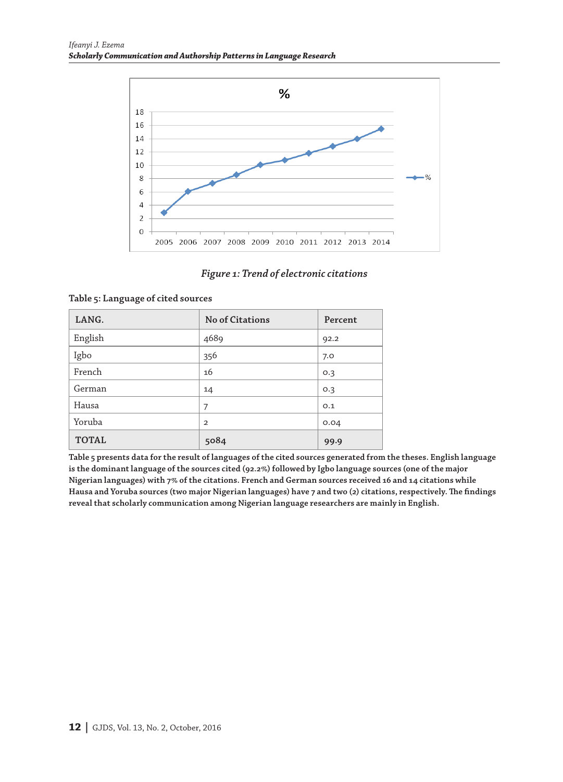

### *Figure 1: Trend of electronic citations*

| LANG.        | <b>No of Citations</b> | Percent |
|--------------|------------------------|---------|
| English      | 4689                   | 92.2    |
| Igbo         | 356                    | 7.0     |
| French       | 16                     | 0.3     |
| German       | 14                     | 0.3     |
| Hausa        | 7                      | O.1     |
| Yoruba       | $\mathfrak{D}$         | 0.04    |
| <b>TOTAL</b> | 5084                   | 99.9    |

### **Table 5: Language of cited sources**

**Table 5 presents data for the result of languages of the cited sources generated from the theses. English language is the dominant language of the sources cited (92.2%) followed by Igbo language sources (one of the major Nigerian languages) with 7% of the citations. French and German sources received 16 and 14 citations while Hausa and Yoruba sources (two major Nigerian languages) have 7 and two (2) citations, respectively. The findings reveal that scholarly communication among Nigerian language researchers are mainly in English.**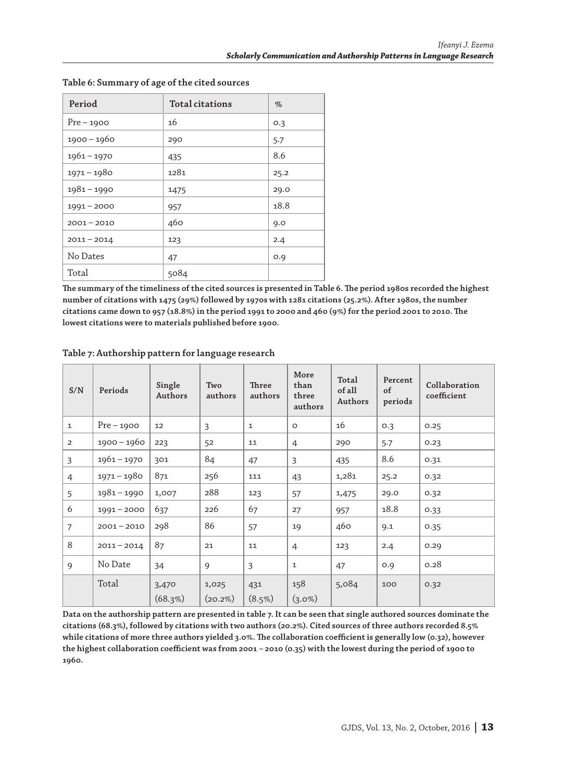| Period        | <b>Total citations</b> | $\%$ |
|---------------|------------------------|------|
| $Pre-1900$    | 16                     | 0.3  |
| $1900 - 1960$ | 290                    | 5.7  |
| $1961 - 1970$ | 435                    | 8.6  |
| $1971 - 1980$ | 1281                   | 25.2 |
| $1981 - 1990$ | 1475                   | 29.0 |
| $1991 - 2000$ | 957                    | 18.8 |
| $2001 - 2010$ | 460                    | 9.0  |
| $2011 - 2014$ | 123                    | 2.4  |
| No Dates      | 47                     | O.9  |
| Total         | 5084                   |      |

### **Table 6: Summary of age of the cited sources**

**The summary of the timeliness of the cited sources is presented in Table 6. The period 1980s recorded the highest number of citations with 1475 (29%) followed by 1970s with 1281 citations (25.2%). After 1980s, the number citations came down to 957 (18.8%) in the period 1991 to 2000 and 460 (9%) for the period 2001 to 2010. The lowest citations were to materials published before 1900.**

| S/N            | Periods       | Single<br>Authors | Two<br>authors      | <b>Three</b><br>authors | More<br>than<br>three<br>authors | Total<br>of all<br>Authors | Percent<br>of<br>periods | Collaboration<br>coefficient |
|----------------|---------------|-------------------|---------------------|-------------------------|----------------------------------|----------------------------|--------------------------|------------------------------|
| $\mathbf{1}$   | $Pre-1900$    | 12                | 3                   | $\mathbf{1}$            | $\circ$                          | 16                         | 0.3                      | 0.25                         |
| $\overline{2}$ | 1900 - 1960   | 223               | 52                  | 11                      | $\overline{4}$                   | 290                        | 5.7                      | 0.23                         |
| $\overline{3}$ | $1961 - 1970$ | 301               | 84                  | 47                      | 3                                | 435                        | 8.6                      | 0.31                         |
| $\overline{4}$ | $1971 - 1980$ | 871               | 256                 | 111                     | 43                               | 1,281                      | 25.2                     | 0.32                         |
| 5              | $1981 - 1990$ | 1,007             | 288                 | 123                     | 57                               | 1,475                      | 29.0                     | 0.32                         |
| 6              | $1991 - 2000$ | 637               | 226                 | 67                      | 27                               | 957                        | 18.8                     | 0.33                         |
| $\overline{7}$ | $2001 - 2010$ | 298               | 86                  | 57                      | 19                               | 460                        | 9.1                      | 0.35                         |
| 8              | $2011 - 2014$ | 87                | 21                  | 11                      | $\overline{4}$                   | 123                        | 2.4                      | 0.29                         |
| $\mathsf{Q}$   | No Date       | 34                | $\mathbf Q$         | $\mathbf{3}$            | $\mathbf{1}$                     | 47                         | O.9                      | 0.28                         |
|                | Total         | 3,470<br>(68.3%)  | 1,025<br>$(20.2\%)$ | 431<br>$(8.5\%)$        | 158<br>$(3.0\%)$                 | 5,084                      | 100                      | 0.32                         |

### **Table 7: Authorship pattern for language research**

**Data on the authorship pattern are presented in table 7. It can be seen that single authored sources dominate the citations (68.3%), followed by citations with two authors (20.2%). Cited sources of three authors recorded 8.5% while citations of more three authors yielded 3.0%. The collaboration coefficient is generally low (0.32), however the highest collaboration coefficient was from 2001 – 2010 (0.35) with the lowest during the period of 1900 to 1960.**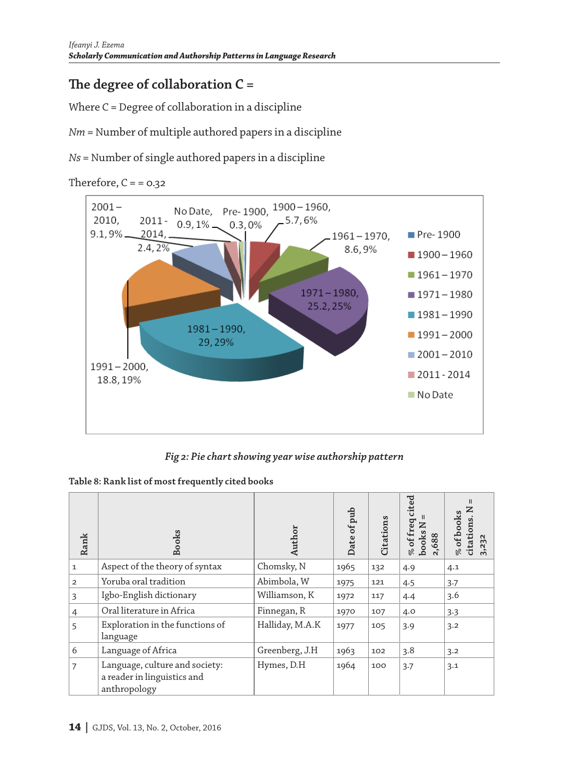# **The degree of collaboration C =**

Where C = Degree of collaboration in a discipline

*Nm* = Number of multiple authored papers in a discipline

*Ns* = Number of single authored papers in a discipline

Therefore,  $C = 0.32$ 



*Fig 2: Pie chart showing year wise authorship pattern*

|  |  |  |  |  | Table 8: Rank list of most frequently cited books |
|--|--|--|--|--|---------------------------------------------------|
|--|--|--|--|--|---------------------------------------------------|

| Rank           | <b>Books</b>                                                                  | Author          | Date of pub | Citations | cited<br>% of freq<br>books N<br>2,688 | Ш<br>% of books<br>citations.<br>3,232 |
|----------------|-------------------------------------------------------------------------------|-----------------|-------------|-----------|----------------------------------------|----------------------------------------|
| $\mathbf{1}$   | Aspect of the theory of syntax                                                | Chomsky, N      | 1965        | 132       | 4.9                                    | 4.1                                    |
| $\overline{2}$ | Yoruba oral tradition                                                         | Abimbola, W     | 1975        | 121       | 4.5                                    | 3.7                                    |
| 3              | Igbo-English dictionary                                                       | Williamson, K   | 1972        | 117       | 4.4                                    | 3.6                                    |
| 4              | Oral literature in Africa                                                     | Finnegan, R     | 1970        | 107       | 4.0                                    | 3.3                                    |
| 5              | Exploration in the functions of<br>language                                   | Halliday, M.A.K | 1977        | 105       | 3.9                                    | 3.2                                    |
| 6              | Language of Africa                                                            | Greenberg, J.H  | 1963        | 102       | 3.8                                    | 3.2                                    |
| 7              | Language, culture and society:<br>a reader in linguistics and<br>anthropology | Hymes, D.H      | 1964        | 100       | 3.7                                    | 3.1                                    |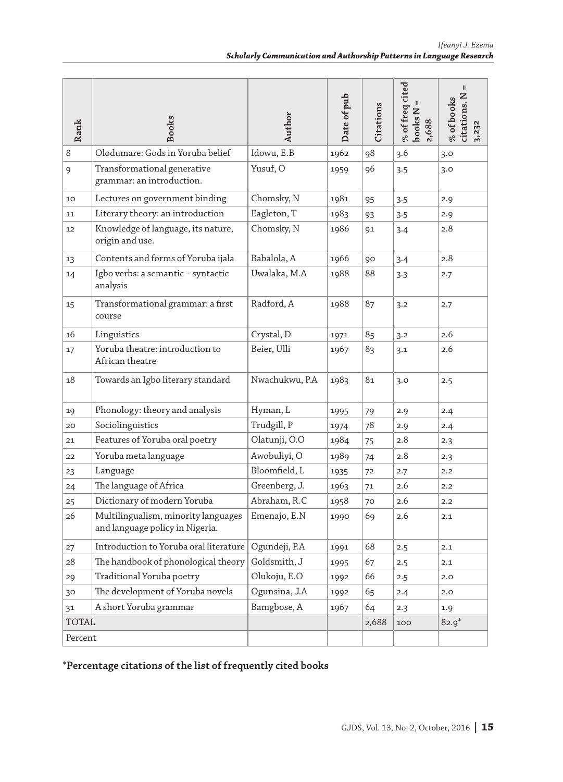| Rank         | <b>Books</b>                                                           | Author         | Date of pub | Citations | $%$ of freq cited<br>books N<br>2,688 | citations. N<br>% of books<br>3,232 |
|--------------|------------------------------------------------------------------------|----------------|-------------|-----------|---------------------------------------|-------------------------------------|
| 8            | Olodumare: Gods in Yoruba belief                                       | Idowu, E.B     | 1962        | 98        | 3.6                                   | 3.0                                 |
| 9            | Transformational generative<br>grammar: an introduction.               | Yusuf, O       | 1959        | 96        | 3.5                                   | 3.0                                 |
| 10           | Lectures on government binding                                         | Chomsky, N     | 1981        | 95        | 3.5                                   | 2.9                                 |
| 11           | Literary theory: an introduction                                       | Eagleton, T    | 1983        | 93        | 3.5                                   | 2.9                                 |
| 12           | Knowledge of language, its nature,<br>origin and use.                  | Chomsky, N     | 1986        | 91        | 3.4                                   | 2.8                                 |
| 13           | Contents and forms of Yoruba ijala                                     | Babalola, A    | 1966        | 90        | 3.4                                   | 2.8                                 |
| 14           | Igbo verbs: a semantic - syntactic<br>analysis                         | Uwalaka, M.A   | 1988        | 88        | 3.3                                   | 2.7                                 |
| 15           | Transformational grammar: a first<br>course                            | Radford, A     | 1988        | 87        | 3.2                                   | 2.7                                 |
| 16           | Linguistics                                                            | Crystal, D     | 1971        | 85        | 3.2                                   | 2.6                                 |
| 17           | Yoruba theatre: introduction to<br>African theatre                     | Beier, Ulli    | 1967        | 83        | 3.1                                   | 2.6                                 |
| 18           | Towards an Igbo literary standard                                      | Nwachukwu, P.A | 1983        | 81        | 3.0                                   | 2.5                                 |
| 19           | Phonology: theory and analysis                                         | Hyman, L       | 1995        | 79        | 2.9                                   | 2.4                                 |
| 20           | Sociolinguistics                                                       | Trudgill, P    | 1974        | 78        | 2.9                                   | 2.4                                 |
| 21           | Features of Yoruba oral poetry                                         | Olatunji, O.O  | 1984        | 75        | 2.8                                   | 2.3                                 |
| 22           | Yoruba meta language                                                   | Awobuliyi, O   | 1989        | 74        | 2.8                                   | 2.3                                 |
| 23           | Language                                                               | Bloomfield, L  | 1935        | 72        | 2.7                                   | 2.2                                 |
| 24           | The language of Africa                                                 | Greenberg, J.  | 1963        | 71        | 2.6                                   | 2.2                                 |
| 25           | Dictionary of modern Yoruba                                            | Abraham, R.C   | 1958        | 70        | 2.6                                   | 2.2                                 |
| 26           | Multilingualism, minority languages<br>and language policy in Nigeria. | Emenajo, E.N.  | 1990        | 69        | 2.6                                   | 2.1                                 |
| 27           | Introduction to Yoruba oral literature                                 | Ogundeji, P.A  | 1991        | 68        | 2.5                                   | 2.1                                 |
| 28           | The handbook of phonological theory                                    | Goldsmith, J   | 1995        | 67        | 2.5                                   | 2.1                                 |
| 29           | Traditional Yoruba poetry                                              | Olukoju, E.O   | 1992        | 66        | 2.5                                   | 2.0                                 |
| 30           | The development of Yoruba novels                                       | Ogunsina, J.A  | 1992        | 65        | 2.4                                   | 2.0                                 |
| 31           | A short Yoruba grammar                                                 | Bamgbose, A    | 1967        | 64        | 2.3                                   | 1.9                                 |
| <b>TOTAL</b> |                                                                        |                |             | 2,688     | 100                                   | $82.9*$                             |
| Percent      |                                                                        |                |             |           |                                       |                                     |

### **\*Percentage citations of the list of frequently cited books**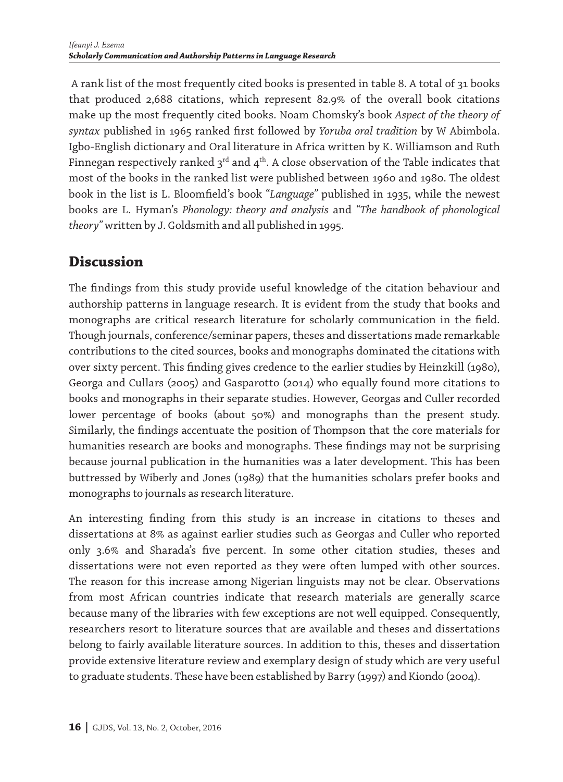A rank list of the most frequently cited books is presented in table 8. A total of 31 books that produced 2,688 citations, which represent 82.9% of the overall book citations make up the most frequently cited books. Noam Chomsky's book *Aspect of the theory of syntax* published in 1965 ranked first followed by *Yoruba oral tradition* by W Abimbola. Igbo-English dictionary and Oral literature in Africa written by K. Williamson and Ruth Finnegan respectively ranked  $3^{rd}$  and  $4^{th}$ . A close observation of the Table indicates that most of the books in the ranked list were published between 1960 and 1980. The oldest book in the list is L. Bloomfield's book "*Language"* published in 1935, while the newest books are L. Hyman's *Phonology: theory and analysis* and *"The handbook of phonological theory"* written by J. Goldsmith and all published in 1995.

# **Discussion**

The findings from this study provide useful knowledge of the citation behaviour and authorship patterns in language research. It is evident from the study that books and monographs are critical research literature for scholarly communication in the field. Though journals, conference/seminar papers, theses and dissertations made remarkable contributions to the cited sources, books and monographs dominated the citations with over sixty percent. This finding gives credence to the earlier studies by Heinzkill (1980), Georga and Cullars (2005) and Gasparotto (2014) who equally found more citations to books and monographs in their separate studies. However, Georgas and Culler recorded lower percentage of books (about 50%) and monographs than the present study. Similarly, the findings accentuate the position of Thompson that the core materials for humanities research are books and monographs. These findings may not be surprising because journal publication in the humanities was a later development. This has been buttressed by Wiberly and Jones (1989) that the humanities scholars prefer books and monographs to journals as research literature.

An interesting finding from this study is an increase in citations to theses and dissertations at 8% as against earlier studies such as Georgas and Culler who reported only 3.6% and Sharada's five percent. In some other citation studies, theses and dissertations were not even reported as they were often lumped with other sources. The reason for this increase among Nigerian linguists may not be clear. Observations from most African countries indicate that research materials are generally scarce because many of the libraries with few exceptions are not well equipped. Consequently, researchers resort to literature sources that are available and theses and dissertations belong to fairly available literature sources. In addition to this, theses and dissertation provide extensive literature review and exemplary design of study which are very useful to graduate students. These have been established by Barry (1997) and Kiondo (2004).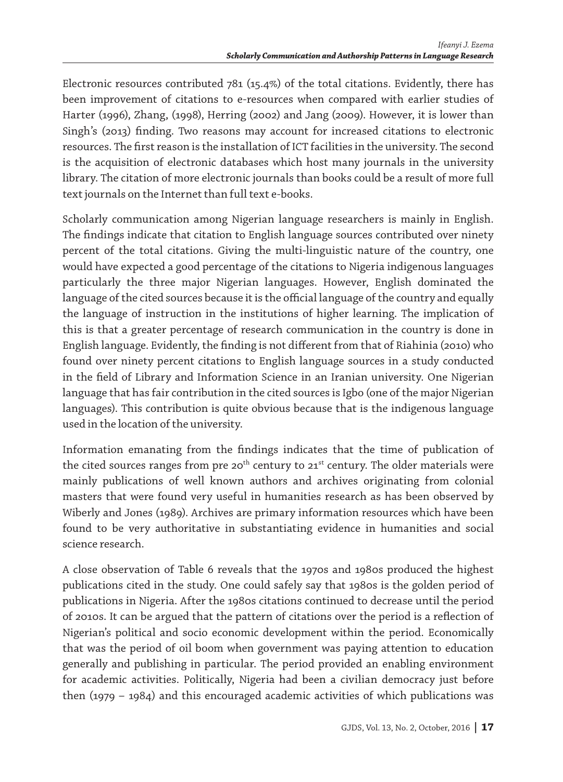Electronic resources contributed 781 (15.4%) of the total citations. Evidently, there has been improvement of citations to e-resources when compared with earlier studies of Harter (1996), Zhang, (1998), Herring (2002) and Jang (2009). However, it is lower than Singh's (2013) finding. Two reasons may account for increased citations to electronic resources. The first reason is the installation of ICT facilities in the university. The second is the acquisition of electronic databases which host many journals in the university library. The citation of more electronic journals than books could be a result of more full text journals on the Internet than full text e-books.

Scholarly communication among Nigerian language researchers is mainly in English. The findings indicate that citation to English language sources contributed over ninety percent of the total citations. Giving the multi-linguistic nature of the country, one would have expected a good percentage of the citations to Nigeria indigenous languages particularly the three major Nigerian languages. However, English dominated the language of the cited sources because it is the official language of the country and equally the language of instruction in the institutions of higher learning. The implication of this is that a greater percentage of research communication in the country is done in English language. Evidently, the finding is not different from that of Riahinia (2010) who found over ninety percent citations to English language sources in a study conducted in the field of Library and Information Science in an Iranian university. One Nigerian language that has fair contribution in the cited sources is Igbo (one of the major Nigerian languages). This contribution is quite obvious because that is the indigenous language used in the location of the university.

Information emanating from the findings indicates that the time of publication of the cited sources ranges from pre 20<sup>th</sup> century to 21<sup>st</sup> century. The older materials were mainly publications of well known authors and archives originating from colonial masters that were found very useful in humanities research as has been observed by Wiberly and Jones (1989). Archives are primary information resources which have been found to be very authoritative in substantiating evidence in humanities and social science research.

A close observation of Table 6 reveals that the 1970s and 1980s produced the highest publications cited in the study. One could safely say that 1980s is the golden period of publications in Nigeria. After the 1980s citations continued to decrease until the period of 2010s. It can be argued that the pattern of citations over the period is a reflection of Nigerian's political and socio economic development within the period. Economically that was the period of oil boom when government was paying attention to education generally and publishing in particular. The period provided an enabling environment for academic activities. Politically, Nigeria had been a civilian democracy just before then (1979 – 1984) and this encouraged academic activities of which publications was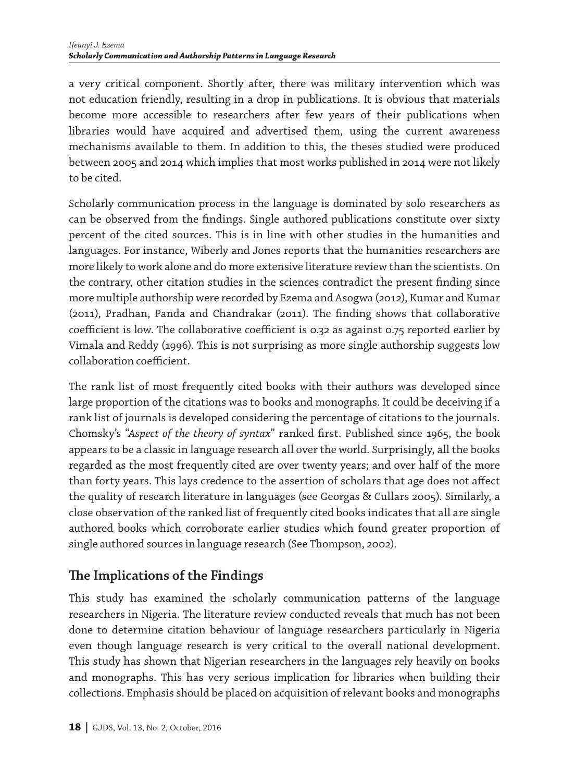a very critical component. Shortly after, there was military intervention which was not education friendly, resulting in a drop in publications. It is obvious that materials become more accessible to researchers after few years of their publications when libraries would have acquired and advertised them, using the current awareness mechanisms available to them. In addition to this, the theses studied were produced between 2005 and 2014 which implies that most works published in 2014 were not likely to be cited.

Scholarly communication process in the language is dominated by solo researchers as can be observed from the findings. Single authored publications constitute over sixty percent of the cited sources. This is in line with other studies in the humanities and languages. For instance, Wiberly and Jones reports that the humanities researchers are more likely to work alone and do more extensive literature review than the scientists. On the contrary, other citation studies in the sciences contradict the present finding since more multiple authorship were recorded by Ezema and Asogwa (2012), Kumar and Kumar (2011), Pradhan, Panda and Chandrakar (2011). The finding shows that collaborative coefficient is low. The collaborative coefficient is 0.32 as against 0.75 reported earlier by Vimala and Reddy (1996). This is not surprising as more single authorship suggests low collaboration coefficient.

The rank list of most frequently cited books with their authors was developed since large proportion of the citations was to books and monographs. It could be deceiving if a rank list of journals is developed considering the percentage of citations to the journals. Chomsky's "*Aspect of the theory of syntax*" ranked first. Published since 1965, the book appears to be a classic in language research all over the world. Surprisingly, all the books regarded as the most frequently cited are over twenty years; and over half of the more than forty years. This lays credence to the assertion of scholars that age does not affect the quality of research literature in languages (see Georgas & Cullars 2005). Similarly, a close observation of the ranked list of frequently cited books indicates that all are single authored books which corroborate earlier studies which found greater proportion of single authored sources in language research (See Thompson, 2002).

### **The Implications of the Findings**

This study has examined the scholarly communication patterns of the language researchers in Nigeria. The literature review conducted reveals that much has not been done to determine citation behaviour of language researchers particularly in Nigeria even though language research is very critical to the overall national development. This study has shown that Nigerian researchers in the languages rely heavily on books and monographs. This has very serious implication for libraries when building their collections. Emphasis should be placed on acquisition of relevant books and monographs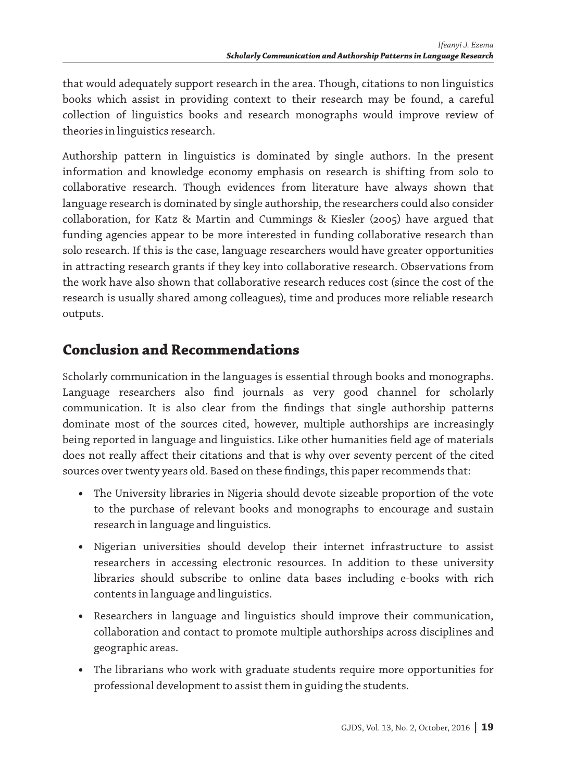that would adequately support research in the area. Though, citations to non linguistics books which assist in providing context to their research may be found, a careful collection of linguistics books and research monographs would improve review of theories in linguistics research.

Authorship pattern in linguistics is dominated by single authors. In the present information and knowledge economy emphasis on research is shifting from solo to collaborative research. Though evidences from literature have always shown that language research is dominated by single authorship, the researchers could also consider collaboration, for Katz & Martin and Cummings & Kiesler (2005) have argued that funding agencies appear to be more interested in funding collaborative research than solo research. If this is the case, language researchers would have greater opportunities in attracting research grants if they key into collaborative research. Observations from the work have also shown that collaborative research reduces cost (since the cost of the research is usually shared among colleagues), time and produces more reliable research outputs.

# **Conclusion and Recommendations**

Scholarly communication in the languages is essential through books and monographs. Language researchers also find journals as very good channel for scholarly communication. It is also clear from the findings that single authorship patterns dominate most of the sources cited, however, multiple authorships are increasingly being reported in language and linguistics. Like other humanities field age of materials does not really affect their citations and that is why over seventy percent of the cited sources over twenty years old. Based on these findings, this paper recommends that:

- **•** The University libraries in Nigeria should devote sizeable proportion of the vote to the purchase of relevant books and monographs to encourage and sustain research in language and linguistics.
- **•** Nigerian universities should develop their internet infrastructure to assist researchers in accessing electronic resources. In addition to these university libraries should subscribe to online data bases including e-books with rich contents in language and linguistics.
- **•** Researchers in language and linguistics should improve their communication, collaboration and contact to promote multiple authorships across disciplines and geographic areas.
- **•** The librarians who work with graduate students require more opportunities for professional development to assist them in guiding the students.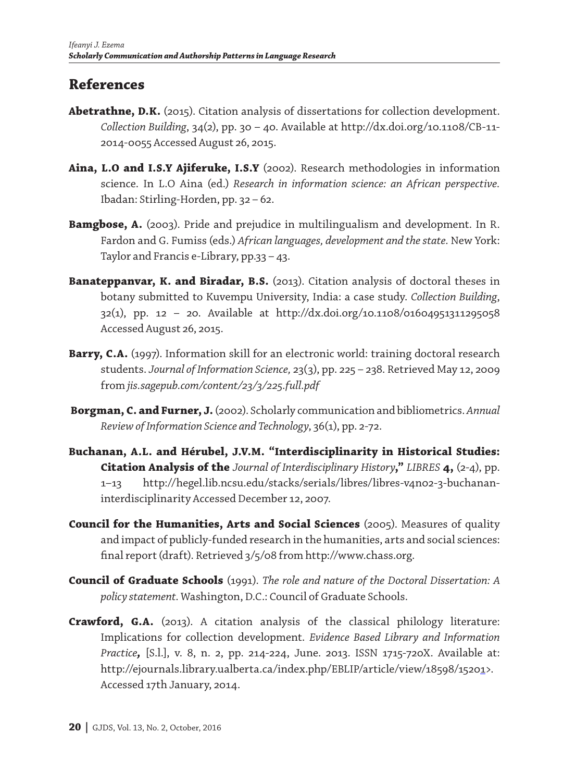### **References**

- **Abetrathne, D.K.** (2015). Citation analysis of dissertations for collection development. *Collection Building*, 34(2), pp. 30 – 40. Available at http://dx.doi.org/10.1108/CB-11- 2014-0055 Accessed August 26, 2015.
- **Aina, L.O and I.S.Y Ajiferuke, I.S.Y** (2002). Research methodologies in information science. In L.O Aina (ed.) *Research in information science: an African perspective.*  Ibadan: Stirling-Horden, pp. 32 – 62.
- **Bamgbose, A.** (2003). Pride and prejudice in multilingualism and development. In R. Fardon and G. Fumiss (eds.) *African languages, development and the state.* New York: Taylor and Francis e-Library, pp.33 – 43.
- **Banateppanvar, K. and Biradar, B.S.** (2013). Citation analysis of doctoral theses in botany submitted to Kuvempu University, India: a case study. *Collection Building*, 32(1), pp. 12 – 20. Available at http://dx.doi.org/10.1108/01604951311295058 Accessed August 26, 2015.
- **Barry, C.A.** (1997). Information skill for an electronic world: training doctoral research students. *Journal of Information Science,* 23(3), pp. 225 – 238. Retrieved May 12, 2009 from *jis.sagepub.com/content/23/3/225.full.pdf*
- **Borgman, C. and Furner, J.** (2002). Scholarly communication and bibliometrics. *Annual Review of Information Science and Technology*, 36(1), pp. 2-72.
- **Buchanan, A.L. and Hérubel, J.V.M. "Interdisciplinarity in Historical Studies: Citation Analysis of the** *Journal of Interdisciplinary History***,"** *LIBRES* **4,** (2-4), pp. 1–13 http://hegel.lib.ncsu.edu/stacks/serials/libres/libres-v4n02-3-buchananinterdisciplinarity Accessed December 12, 2007.
- **Council for the Humanities, Arts and Social Sciences** (2005). Measures of quality and impact of publicly-funded research in the humanities, arts and social sciences: final report (draft). Retrieved 3/5/08 from http://www.chass.org.
- **Council of Graduate Schools** (1991). *The role and nature of the Doctoral Dissertation: A policy statement.* Washington, D.C.: Council of Graduate Schools.
- **Crawford, G.A.** (2013). A citation analysis of the classical philology literature: Implications for collection development. *Evidence Based Library and Information Practice,* [S.l.], v. 8, n. 2, pp. 214-224, June. 2013. ISSN 1715-720X. Available at: http://ejournals.library.ualberta.ca/index.php/EBLIP/article/view/18598/15201>. Accessed 17th January, 2014.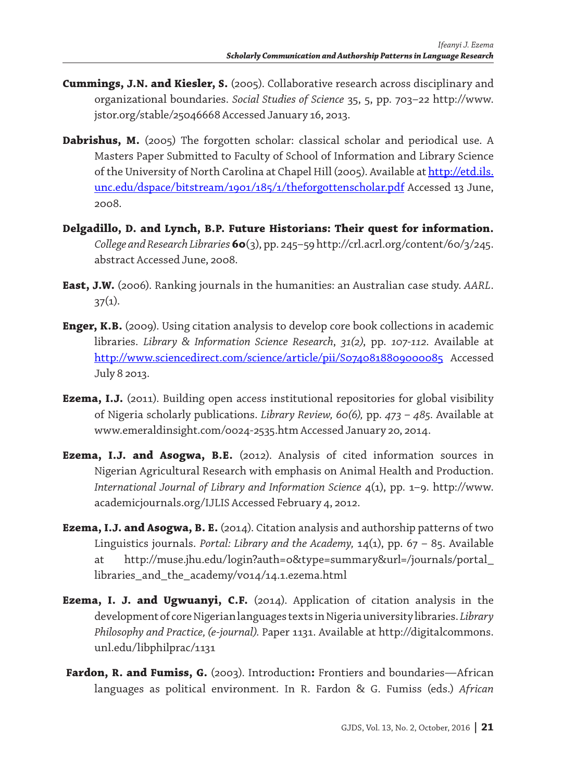- **Cummings, J.N. and Kiesler, S.** (2005). Collaborative research across disciplinary and organizational boundaries. *Social Studies of Science* 35, 5, pp. 703–22 http://www. jstor.org/stable/25046668 Accessed January 16, 2013.
- Dabrishus, M. (2005) The forgotten scholar: classical scholar and periodical use. A Masters Paper Submitted to Faculty of School of Information and Library Science of the University of North Carolina at Chapel Hill (2005). Available at http://etd.ils. unc.edu/dspace/bitstream/1901/185/1/theforgottenscholar.pdf Accessed 13 June, 2008.
- **Delgadillo, D. and Lynch, B.P. Future Historians: Their quest for information.**  *College and Research Libraries* **60**(3), pp. 245–59 http://crl.acrl.org/content/60/3/245. abstract Accessed June, 2008.
- **East, J.W.** (2006). Ranking journals in the humanities: an Australian case study. *AARL*.  $37(1)$ .
- **Enger, K.B.** (2009). Using citation analysis to develop core book collections in academic libraries. *Library & Information Science Research*, *31(2)*, pp. *107-112.* Available at http://www.sciencedirect.com/science/article/pii/S0740818809000085 Accessed July 8 2013.
- **Ezema, I.J.** (2011). Building open access institutional repositories for global visibility of Nigeria scholarly publications. *Library Review, 60(6),* pp. *473 – 485.* Available at www.emeraldinsight.com/0024-2535.htm Accessed January 20, 2014.
- **Ezema, I.J. and Asogwa, B.E.** (2012). Analysis of cited information sources in Nigerian Agricultural Research with emphasis on Animal Health and Production. *International Journal of Library and Information Science* 4(1), pp. 1–9. http://www. academicjournals.org/IJLIS Accessed February 4, 2012.
- **Ezema, I.J. and Asogwa, B. E.** (2014). Citation analysis and authorship patterns of two Linguistics journals. *Portal: Library and the Academy,* 14(1), pp. 67 – 85. Available at http://muse.jhu.edu/login?auth=0&type=summary&url=/journals/portal\_ libraries\_and\_the\_academy/v014/14.1.ezema.html
- **Ezema, I. J. and Ugwuanyi, C.F.** (2014). Application of citation analysis in the development of core Nigerian languages texts in Nigeria university libraries. *Library Philosophy and Practice, (e-journal).* Paper 1131. Available at http://digitalcommons. unl.edu/libphilprac/1131
- **Fardon, R. and Fumiss, G.** (2003). Introduction**:** Frontiers and boundaries—African languages as political environment. In R. Fardon & G. Fumiss (eds.) *African*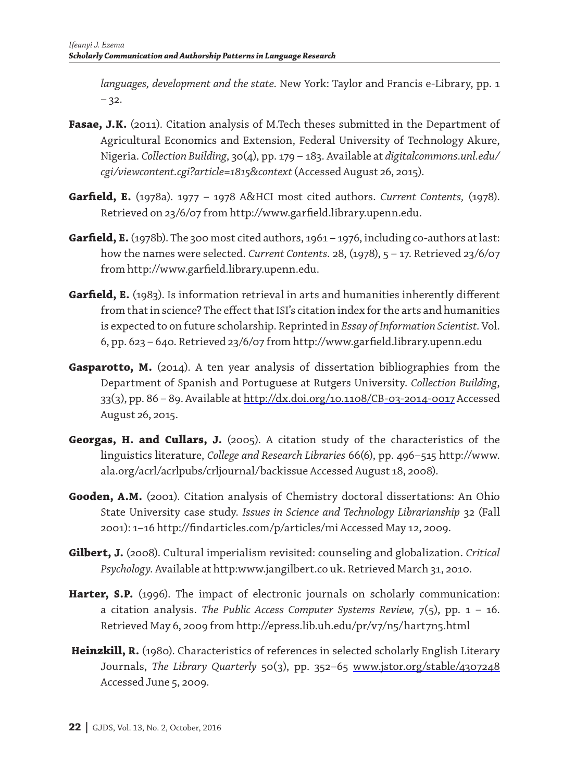*languages, development and the state.* New York: Taylor and Francis e-Library, pp. 1  $-32.$ 

- Fasae, J.K. (2011). Citation analysis of M.Tech theses submitted in the Department of Agricultural Economics and Extension, Federal University of Technology Akure, Nigeria. *Collection Building*, 30(4), pp. 179 – 183. Available at *digitalcommons.unl.edu/ cgi/viewcontent.cgi?article=1815&context* (Accessed August 26, 2015).
- **Garfield, E.** (1978a). 1977 1978 A&HCI most cited authors. *Current Contents,* (1978). Retrieved on 23/6/07 from http://www.garfield.library.upenn.edu.
- Garfield, E. (1978b). The 300 most cited authors, 1961 1976, including co-authors at last: how the names were selected. *Current Contents.* 28, (1978), 5 – 17. Retrieved 23/6/07 from http://www.garfield.library.upenn.edu.
- **Garfield, E.** (1983). Is information retrieval in arts and humanities inherently different from that in science? The effect that ISI's citation index for the arts and humanities is expected to on future scholarship. Reprinted in *Essay of Information Scientist.* Vol. 6, pp. 623 – 640. Retrieved 23/6/07 from http://www.garfield.library.upenn.edu
- **Gasparotto, M.** (2014). A ten year analysis of dissertation bibliographies from the Department of Spanish and Portuguese at Rutgers University. *Collection Building*, 33(3), pp. 86 – 89. Available at http://dx.doi.org/10.1108/CB-03-2014-0017 Accessed August 26, 2015.
- **Georgas, H. and Cullars, J.** (2005). A citation study of the characteristics of the linguistics literature, *College and Research Libraries* 66(6), pp. 496–515 http://www. ala.org/acrl/acrlpubs/crljournal/backissue Accessed August 18, 2008).
- **Gooden, A.M.** (2001). Citation analysis of Chemistry doctoral dissertations: An Ohio State University case study. *Issues in Science and Technology Librarianship* 32 (Fall 2001): 1–16 http://findarticles.com/p/articles/mi Accessed May 12, 2009.
- **Gilbert, J.** (2008). Cultural imperialism revisited: counseling and globalization. *Critical Psychology.* Available at http:www.jangilbert.co uk. Retrieved March 31, 2010.
- **Harter, S.P.** (1996). The impact of electronic journals on scholarly communication: a citation analysis. *The Public Access Computer Systems Review,* 7(5), pp. 1 – 16. Retrieved May 6, 2009 from http://epress.lib.uh.edu/pr/v7/n5/hart7n5.html
- **Heinzkill, R.** (1980). Characteristics of references in selected scholarly English Literary Journals, *The Library Quarterly* 50(3), pp. 352–65 www.jstor.org/stable/4307248 Accessed June 5, 2009.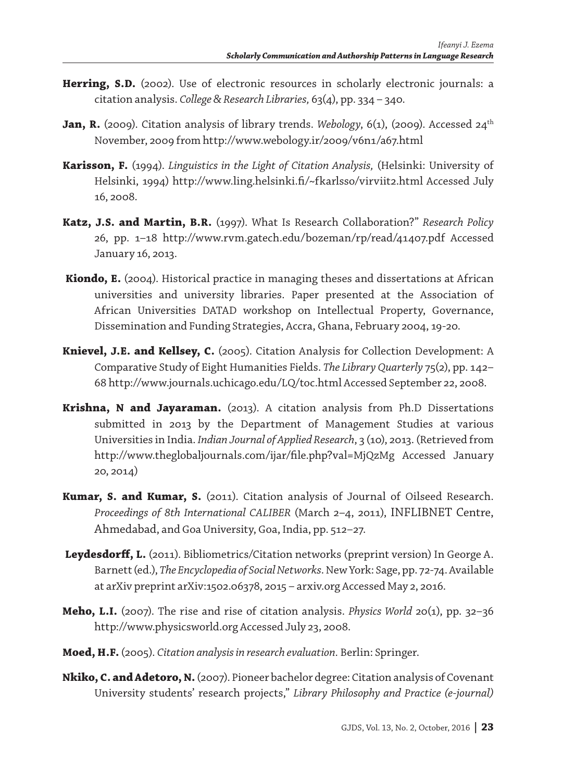- **Herring, S.D.** (2002). Use of electronic resources in scholarly electronic journals: a citation analysis. *College & Research Libraries,* 63(4), pp. 334 – 340.
- **Jan, R.** (2009). Citation analysis of library trends. *Webology*, 6(1), (2009). Accessed 24<sup>th</sup> November, 2009 from http://www.webology.ir/2009/v6n1/a67.html
- **Karisson, F.** (1994). *Linguistics in the Light of Citation Analysis,* (Helsinki: University of Helsinki, 1994) http://www.ling.helsinki.fi/~fkarlsso/virviit2.html Accessed July 16, 2008.
- **Katz, J.S. and Martin, B.R.** (1997). What Is Research Collaboration?" *Research Policy* 26, pp. 1–18 http://www.rvm.gatech.edu/bozeman/rp/read/41407.pdf Accessed January 16, 2013.
- **Kiondo, E.** (2004). Historical practice in managing theses and dissertations at African universities and university libraries. Paper presented at the Association of African Universities DATAD workshop on Intellectual Property, Governance, Dissemination and Funding Strategies, Accra, Ghana, February 2004, 19-20.
- **Knievel, J.E. and Kellsey, C.** (2005). Citation Analysis for Collection Development: A Comparative Study of Eight Humanities Fields. *The Library Quarterly* 75(2), pp. 142– 68 http://www.journals.uchicago.edu/LQ/toc.html Accessed September 22, 2008.
- **Krishna, N and Jayaraman.** (2013). A citation analysis from Ph.D Dissertations submitted in 2013 by the Department of Management Studies at various Universities in India. *Indian Journal of Applied Research*, 3 (10), 2013. (Retrieved from http://www.theglobaljournals.com/ijar/file.php?val=MjQzMg Accessed January 20, 2014)
- **Kumar, S. and Kumar, S.** (2011). Citation analysis of Journal of Oilseed Research. *Proceedings of 8th International CALIBER* (March 2–4, 2011), INFLIBNET Centre, Ahmedabad, and Goa University, Goa, India, pp. 512–27.
- Leydesdorff, L. (2011). Bibliometrics/Citation networks (preprint version) In George A. Barnett (ed.), *The Encyclopedia of Social Networks*. New York: Sage, pp. 72-74. Available at arXiv preprint arXiv:1502.06378, 2015 – arxiv.org Accessed May 2, 2016.
- **Meho, L.I.** (2007). The rise and rise of citation analysis. *Physics World* 20(1), pp. 32–36 http://www.physicsworld.org Accessed July 23, 2008.
- **Moed, H.F.** (2005). *Citation analysis in research evaluation.* Berlin: Springer.
- **Nkiko, C. and Adetoro, N.** (2007). Pioneer bachelor degree: Citation analysis of Covenant University students' research projects," *Library Philosophy and Practice (e-journal)*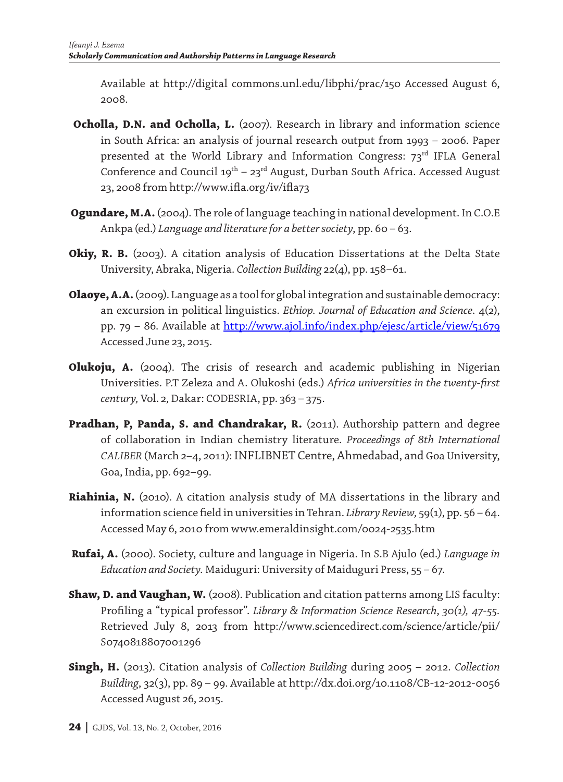Available at http://digital commons.unl.edu/libphi/prac/150 Accessed August 6, 2008.

- **Ocholla, D.N. and Ocholla, L.** (2007). Research in library and information science in South Africa: an analysis of journal research output from 1993 – 2006. Paper presented at the World Library and Information Congress: 73<sup>rd</sup> IFLA General Conference and Council  $19^{th}$  –  $23^{rd}$  August, Durban South Africa. Accessed August 23, 2008 from http://www.ifla.org/iv/ifla73
- **Ogundare, M.A.** (2004). The role of language teaching in national development. In C.O.E Ankpa (ed.) *Language and literature for a better society*, pp. 60 – 63.
- **Okiy, R. B.** (2003). A citation analysis of Education Dissertations at the Delta State University, Abraka, Nigeria. *Collection Building* 22(4), pp. 158–61.
- **Olaoye, A.A.** (2009). Language as a tool for global integration and sustainable democracy: an excursion in political linguistics. *Ethiop. Journal of Education and Science*. 4(2), pp. 79 – 86. Available at http://www.ajol.info/index.php/ejesc/article/view/51679 Accessed June 23, 2015.
- **Olukoju, A.** (2004). The crisis of research and academic publishing in Nigerian Universities. P.T Zeleza and A. Olukoshi (eds.) *Africa universities in the twenty-first century,* Vol. 2*,* Dakar: CODESRIA, pp. 363 – 375.
- **Pradhan, P, Panda, S. and Chandrakar, R.** (2011). Authorship pattern and degree of collaboration in Indian chemistry literature. *Proceedings of 8th International CALIBER* (March 2–4, 2011): INFLIBNET Centre, Ahmedabad, and Goa University, Goa, India, pp. 692–99.
- **Riahinia, N.** (2010). A citation analysis study of MA dissertations in the library and information science field in universities in Tehran. *Library Review,* 59(1), pp. 56 – 64. Accessed May 6, 2010 from www.emeraldinsight.com/0024-2535.htm
- **Rufai, A.** (2000). Society, culture and language in Nigeria. In S.B Ajulo (ed.) *Language in Education and Society.* Maiduguri: University of Maiduguri Press, 55 – 67.
- **Shaw, D. and Vaughan, W.** (2008). Publication and citation patterns among LIS faculty: Profiling a "typical professor". *Library & Information Science Research*, *30(1), 47-55.*  Retrieved July 8, 2013 from http://www.sciencedirect.com/science/article/pii/ S0740818807001296
- **Singh, H.** (2013). Citation analysis of *Collection Building* during 2005 2012. *Collection Building*, 32(3), pp. 89 – 99. Available at http://dx.doi.org/10.1108/CB-12-2012-0056 Accessed August 26, 2015.